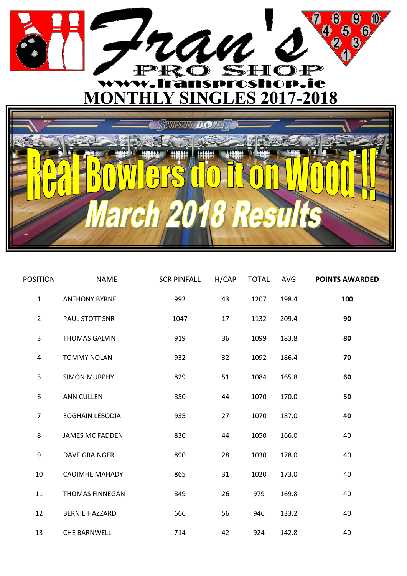

| <b>POSITION</b> | <b>NAME</b>            | <b>SCR PINFALL</b> | H/CAP | <b>TOTAL</b> | AVG   | <b>POINTS AWARDED</b> |
|-----------------|------------------------|--------------------|-------|--------------|-------|-----------------------|
| $\mathbf{1}$    | <b>ANTHONY BYRNE</b>   | 992                | 43    | 1207         | 198.4 | 100                   |
| $\overline{2}$  | PAUL STOTT SNR         | 1047               | 17    | 1132         | 209.4 | 90                    |
| 3               | <b>THOMAS GALVIN</b>   | 919                | 36    | 1099         | 183.8 | 80                    |
| 4               | <b>TOMMY NOLAN</b>     | 932                | 32    | 1092         | 186.4 | 70                    |
| 5               | <b>SIMON MURPHY</b>    | 829                | 51    | 1084         | 165.8 | 60                    |
| 6               | <b>ANN CULLEN</b>      | 850                | 44    | 1070         | 170.0 | 50                    |
| 7               | <b>EOGHAIN LEBODIA</b> | 935                | 27    | 1070         | 187.0 | 40                    |
| 8               | <b>JAMES MC FADDEN</b> | 830                | 44    | 1050         | 166.0 | 40                    |
| 9               | <b>DAVE GRAINGER</b>   | 890                | 28    | 1030         | 178.0 | 40                    |
| 10              | <b>CAOIMHE MAHADY</b>  | 865                | 31    | 1020         | 173.0 | 40                    |
| 11              | <b>THOMAS FINNEGAN</b> | 849                | 26    | 979          | 169.8 | 40                    |
| 12              | <b>BERNIE HAZZARD</b>  | 666                | 56    | 946          | 133.2 | 40                    |
| 13              | <b>CHE BARNWELL</b>    | 714                | 42    | 924          | 142.8 | 40                    |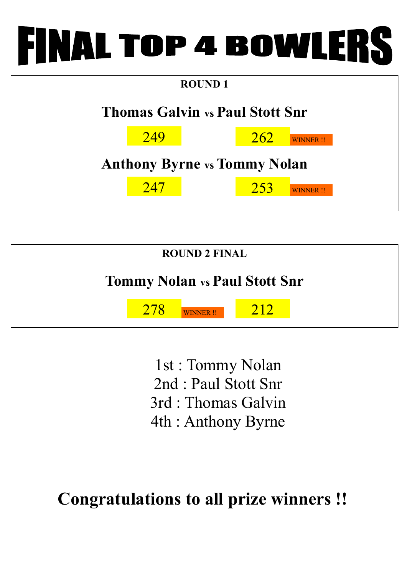## FINAL TOP 4 BOWLERS

| <b>ROUND1</b>                          |     |  |            |                 |  |  |  |  |
|----------------------------------------|-----|--|------------|-----------------|--|--|--|--|
| <b>Thomas Galvin vs Paul Stott Snr</b> |     |  |            |                 |  |  |  |  |
|                                        | 249 |  | <u>262</u> | <b>WINNER!!</b> |  |  |  |  |
| <b>Anthony Byrne vs Tommy Nolan</b>    |     |  |            |                 |  |  |  |  |
|                                        | 247 |  | 253        | <b>WINNER!!</b> |  |  |  |  |



1st : Tommy Nolan 2nd : Paul Stott Snr 3rd : Thomas Galvin 4th : Anthony Byrne

**Congratulations to all prize winners !!**